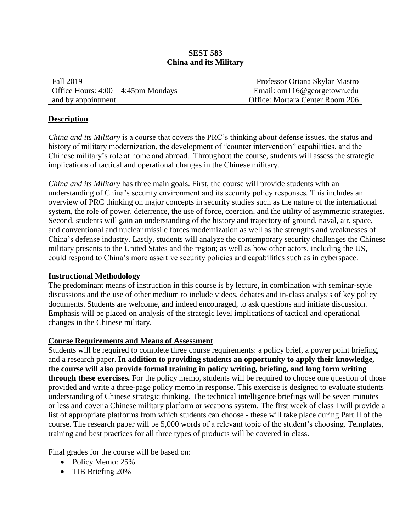# **SEST 583 China and its Military**

| <b>Fall 2019</b>                       | Professor Oriana Skylar Mastro  |
|----------------------------------------|---------------------------------|
| Office Hours: $4:00 - 4:45$ pm Mondays | Email: om116@georgetown.edu     |
| and by appointment                     | Office: Mortara Center Room 206 |

#### **Description**

*China and its Military* is a course that covers the PRC's thinking about defense issues, the status and history of military modernization, the development of "counter intervention" capabilities, and the Chinese military's role at home and abroad. Throughout the course, students will assess the strategic implications of tactical and operational changes in the Chinese military.

*China and its Military* has three main goals. First, the course will provide students with an understanding of China's security environment and its security policy responses*.* This includes an overview of PRC thinking on major concepts in security studies such as the nature of the international system, the role of power, deterrence, the use of force, coercion, and the utility of asymmetric strategies. Second, students will gain an understanding of the history and trajectory of ground, naval, air, space, and conventional and nuclear missile forces modernization as well as the strengths and weaknesses of China's defense industry. Lastly, students will analyze the contemporary security challenges the Chinese military presents to the United States and the region; as well as how other actors, including the US, could respond to China's more assertive security policies and capabilities such as in cyberspace.

# **Instructional Methodology**

The predominant means of instruction in this course is by lecture, in combination with seminar-style discussions and the use of other medium to include videos, debates and in-class analysis of key policy documents. Students are welcome, and indeed encouraged, to ask questions and initiate discussion. Emphasis will be placed on analysis of the strategic level implications of tactical and operational changes in the Chinese military.

# **Course Requirements and Means of Assessment**

Students will be required to complete three course requirements: a policy brief, a power point briefing, and a research paper. **In addition to providing students an opportunity to apply their knowledge, the course will also provide formal training in policy writing, briefing, and long form writing through these exercises.** For the policy memo, students will be required to choose one question of those provided and write a three-page policy memo in response. This exercise is designed to evaluate students understanding of Chinese strategic thinking. The technical intelligence briefings will be seven minutes or less and cover a Chinese military platform or weapons system. The first week of class I will provide a list of appropriate platforms from which students can choose - these will take place during Part II of the course. The research paper will be 5,000 words of a relevant topic of the student's choosing. Templates, training and best practices for all three types of products will be covered in class.

Final grades for the course will be based on:

- Policy Memo: 25%
- TIB Briefing 20%